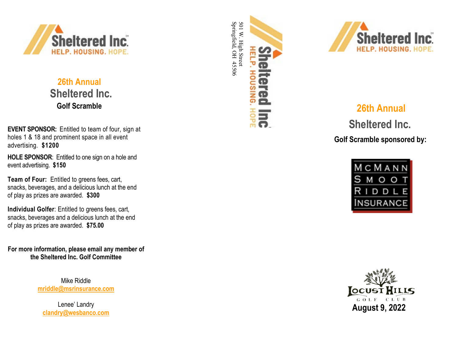

 **26th Annual Sheltered Inc. Golf Scramble**

**EVENT SPONSOR:** Entitled to team of four, sign at holes 1 & 18 and prominent space in all event advertising. **\$1200**

**HOLE SPONSOR**: Entitled to one sign on a hole and event advertising. **\$150** 

**Team of Four:**  Entitled to greens fees, cart, snacks, beverages, and a delicious lunch at the end of play as prizes are awarded. **\$300**

**Individual Golfer**: Entitled to greens fees, cart, snacks, beverages and a delicious lunch at the end of play as prizes are awarded. **\$75.00**

**For more information, please email any member of the Sheltered Inc. Golf Committee**

> Mike Riddle **[mriddle@msrinsurance.com](mailto:mriddle@msrinsurance.com)**

Lenee' Landry **[clandry@wesbanco.com](mailto:clandry@wesbanco.com)**





# **26th Annual**

 **Sheltered Inc . Golf Scramble sponsored by:**